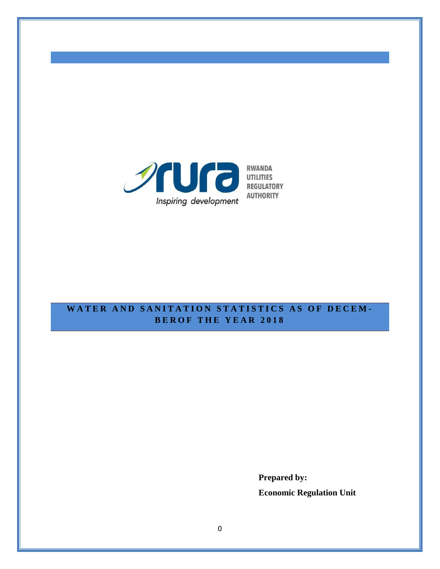

**AUTHORITY** 

# **WATER AND SANITATION STATISTICS AS OF DECEM-BER O F T H E Y E A R 201 8**

**Prepared by: Economic Regulation Unit**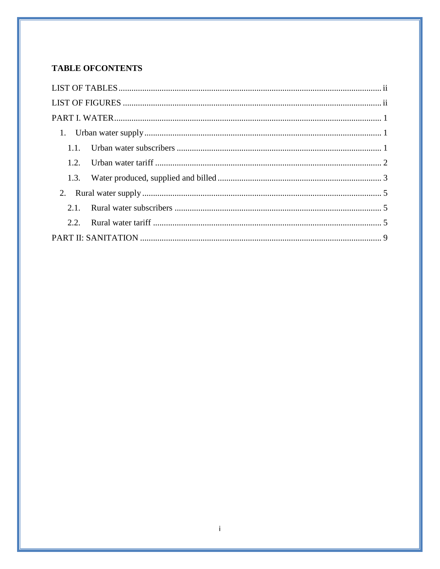## **TABLE OFCONTENTS**

| 2.2. |
|------|
|      |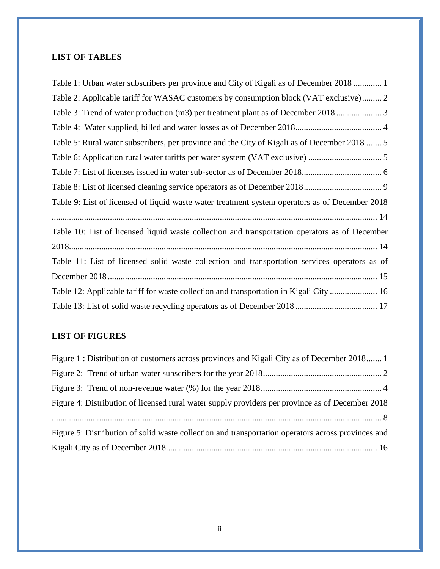## <span id="page-2-0"></span>**LIST OF TABLES**

| Table 1: Urban water subscribers per province and City of Kigali as of December 2018  1        |
|------------------------------------------------------------------------------------------------|
| Table 2: Applicable tariff for WASAC customers by consumption block (VAT exclusive) 2          |
|                                                                                                |
|                                                                                                |
| Table 5: Rural water subscribers, per province and the City of Kigali as of December 2018  5   |
|                                                                                                |
|                                                                                                |
|                                                                                                |
| Table 9: List of licensed of liquid waste water treatment system operators as of December 2018 |
|                                                                                                |
| Table 10: List of licensed liquid waste collection and transportation operators as of December |
|                                                                                                |
| Table 11: List of licensed solid waste collection and transportation services operators as of  |
|                                                                                                |
| Table 12: Applicable tariff for waste collection and transportation in Kigali City  16         |
|                                                                                                |

# <span id="page-2-1"></span>**LIST OF FIGURES**

| Figure 1: Distribution of customers across provinces and Kigali City as of December 2018 1         |  |
|----------------------------------------------------------------------------------------------------|--|
|                                                                                                    |  |
|                                                                                                    |  |
| Figure 4: Distribution of licensed rural water supply providers per province as of December 2018   |  |
|                                                                                                    |  |
| Figure 5: Distribution of solid waste collection and transportation operators across provinces and |  |
|                                                                                                    |  |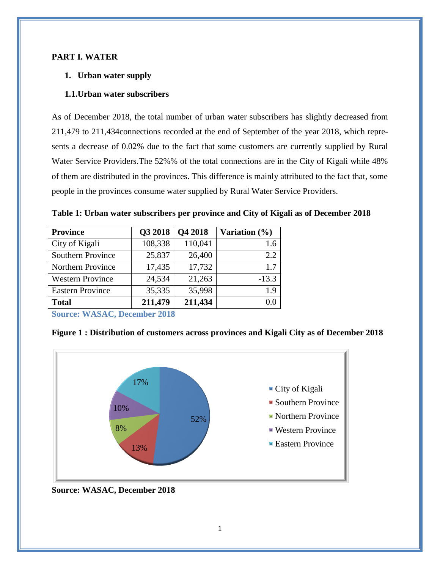#### <span id="page-3-1"></span><span id="page-3-0"></span>**PART I. WATER**

### **1. Urban water supply**

### <span id="page-3-2"></span>**1.1.Urban water subscribers**

As of December 2018, the total number of urban water subscribers has slightly decreased from 211,479 to 211,434connections recorded at the end of September of the year 2018, which represents a decrease of 0.02% due to the fact that some customers are currently supplied by Rural Water Service Providers.The 52%% of the total connections are in the City of Kigali while 48% of them are distributed in the provinces. This difference is mainly attributed to the fact that, some people in the provinces consume water supplied by Rural Water Service Providers.

| <b>Province</b>          | Q3 2018 | Q4 2018 | Variation $(\% )$ |
|--------------------------|---------|---------|-------------------|
| City of Kigali           | 108,338 | 110,041 | 1.6               |
| <b>Southern Province</b> | 25,837  | 26,400  | 2.2               |
| Northern Province        | 17,435  | 17,732  | 1.7               |
| <b>Western Province</b>  | 24,534  | 21,263  | $-13.3$           |
| <b>Eastern Province</b>  | 35,335  | 35,998  | 1.9               |
| <b>Total</b>             | 211,479 | 211,434 |                   |

<span id="page-3-3"></span>**Table 1: Urban water subscribers per province and City of Kigali as of December 2018**

**Source: WASAC, December 2018**

### <span id="page-3-4"></span>**Figure 1 : Distribution of customers across provinces and Kigali City as of December 2018**



**Source: WASAC, December 2018**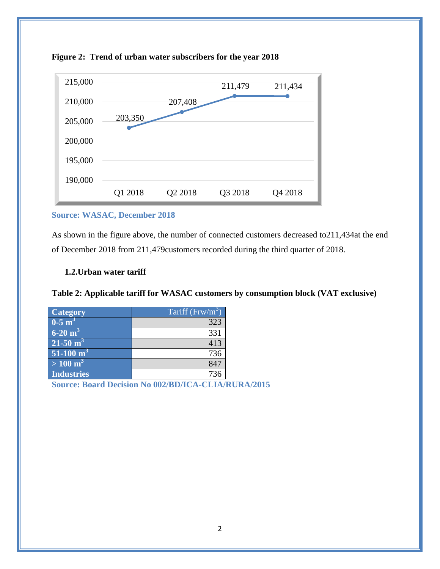

#### <span id="page-4-2"></span>**Figure 2: Trend of urban water subscribers for the year 2018**

#### **Source: WASAC, December 2018**

As shown in the figure above, the number of connected customers decreased to211,434at the end of December 2018 from 211,479customers recorded during the third quarter of 2018.

#### <span id="page-4-0"></span>**1.2.Urban water tariff**

### <span id="page-4-1"></span>**Table 2: Applicable tariff for WASAC customers by consumption block (VAT exclusive)**

| <b>Category</b>                 | Tariff $(Frw/m^3)$ |
|---------------------------------|--------------------|
| $0-5$ m <sup>3</sup>            | 323                |
| $6-20 \text{ m}^3$              | 331                |
| $21 - 50$ m <sup>3</sup>        | 413                |
| $\sqrt{51-100}$ m <sup>31</sup> | 736                |
| $> 100 \; \mathrm{m}^3$         | 847                |
| <b>Industries</b>               | 736                |

**Source: Board Decision No 002/BD/ICA-CLIA/RURA/2015**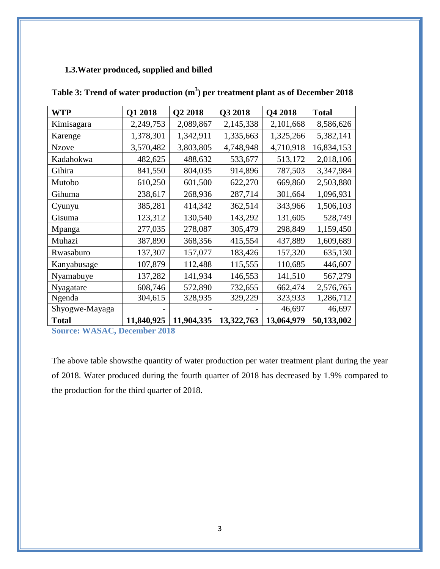## <span id="page-5-0"></span>**1.3.Water produced, supplied and billed**

| <b>WTP</b>     | Q1 2018    | Q2 2018    | Q3 2018    | Q4 2018    | <b>Total</b> |
|----------------|------------|------------|------------|------------|--------------|
| Kimisagara     | 2,249,753  | 2,089,867  | 2,145,338  | 2,101,668  | 8,586,626    |
| Karenge        | 1,378,301  | 1,342,911  | 1,335,663  | 1,325,266  | 5,382,141    |
| <b>Nzove</b>   | 3,570,482  | 3,803,805  | 4,748,948  | 4,710,918  | 16,834,153   |
| Kadahokwa      | 482,625    | 488,632    | 533,677    | 513,172    | 2,018,106    |
| Gihira         | 841,550    | 804,035    | 914,896    | 787,503    | 3,347,984    |
| Mutobo         | 610,250    | 601,500    | 622,270    | 669,860    | 2,503,880    |
| Gihuma         | 238,617    | 268,936    | 287,714    | 301,664    | 1,096,931    |
| Cyunyu         | 385,281    | 414,342    | 362,514    | 343,966    | 1,506,103    |
| Gisuma         | 123,312    | 130,540    | 143,292    | 131,605    | 528,749      |
| Mpanga         | 277,035    | 278,087    | 305,479    | 298,849    | 1,159,450    |
| Muhazi         | 387,890    | 368,356    | 415,554    | 437,889    | 1,609,689    |
| Rwasaburo      | 137,307    | 157,077    | 183,426    | 157,320    | 635,130      |
| Kanyabusage    | 107,879    | 112,488    | 115,555    | 110,685    | 446,607      |
| Nyamabuye      | 137,282    | 141,934    | 146,553    | 141,510    | 567,279      |
| Nyagatare      | 608,746    | 572,890    | 732,655    | 662,474    | 2,576,765    |
| Ngenda         | 304,615    | 328,935    | 329,229    | 323,933    | 1,286,712    |
| Shyogwe-Mayaga |            |            |            | 46,697     | 46,697       |
| <b>Total</b>   | 11,840,925 | 11,904,335 | 13,322,763 | 13,064,979 | 50,133,002   |

<span id="page-5-1"></span>**Table 3: Trend of water production (m<sup>3</sup> ) per treatment plant as of December 2018**

**Source: WASAC, December 2018**

The above table showsthe quantity of water production per water treatment plant during the year of 2018. Water produced during the fourth quarter of 2018 has decreased by 1.9% compared to the production for the third quarter of 2018.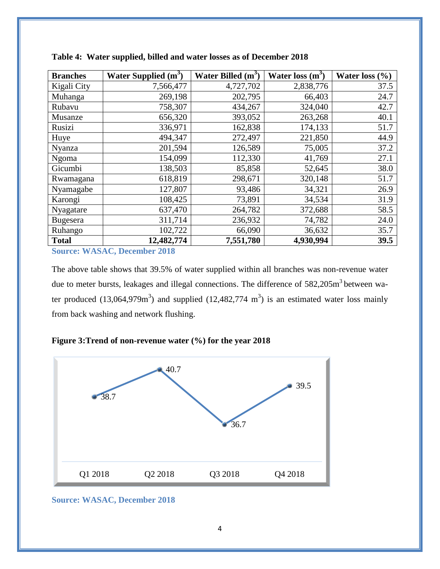| <b>Branches</b> | Water Supplied $(m^3)$ | Water Billed $(m^3)$ | Water loss $(m^3)$ | Water loss $(\% )$ |
|-----------------|------------------------|----------------------|--------------------|--------------------|
| Kigali City     | 7,566,477              | 4,727,702            | 2,838,776          | 37.5               |
| Muhanga         | 269,198                | 202,795              | 66,403             | 24.7               |
| Rubavu          | 758,307                | 434,267              | 324,040            | 42.7               |
| Musanze         | 656,320                | 393,052              | 263,268            | 40.1               |
| Rusizi          | 336,971                | 162,838              | 174,133            | 51.7               |
| Huye            | 494,347                | 272,497              | 221,850            | 44.9               |
| Nyanza          | 201,594                | 126,589              | 75,005             | 37.2               |
| Ngoma           | 154,099                | 112,330              | 41,769             | 27.1               |
| Gicumbi         | 138,503                | 85,858               | 52,645             | 38.0               |
| Rwamagana       | 618,819                | 298,671              | 320,148            | 51.7               |
| Nyamagabe       | 127,807                | 93,486               | 34,321             | 26.9               |
| Karongi         | 108,425                | 73,891               | 34,534             | 31.9               |
| Nyagatare       | 637,470                | 264,782              | 372,688            | 58.5               |
| Bugesera        | 311,714                | 236,932              | 74,782             | 24.0               |
| Ruhango         | 102,722                | 66,090               | 36,632             | 35.7               |
| <b>Total</b>    | 12,482,774             | 7,551,780            | 4,930,994          | 39.5               |

<span id="page-6-0"></span>**Table 4: Water supplied, billed and water losses as of December 2018**

**Source: WASAC, December 2018**

The above table shows that 39.5% of water supplied within all branches was non-revenue water due to meter bursts, leakages and illegal connections. The difference of 582,205m<sup>3</sup> between water produced (13,064,979 $m<sup>3</sup>$ ) and supplied (12,482,774  $m<sup>3</sup>$ ) is an estimated water loss mainly from back washing and network flushing.

### <span id="page-6-1"></span>**Figure 3:Trend of non-revenue water (%) for the year 2018**



**Source: WASAC, December 2018**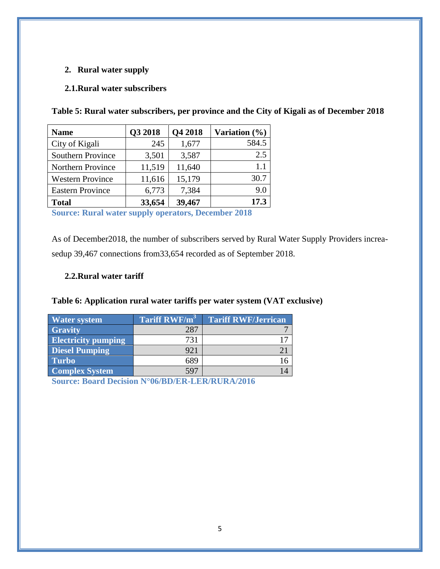### <span id="page-7-0"></span>**2. Rural water supply**

### <span id="page-7-1"></span>**2.1.Rural water subscribers**

| 245<br>3,501 | 1,677<br>3,587 | 584.5<br>2.5                             |
|--------------|----------------|------------------------------------------|
|              |                |                                          |
|              |                |                                          |
| 11,519       |                | 1.1                                      |
| 11,616       |                | 30.7                                     |
| 6,773        |                | 9.0                                      |
| 33,654       |                | 17.3                                     |
|              |                | 11,640<br>15,179<br>7,384<br>39,467<br>- |

<span id="page-7-3"></span>**Table 5: Rural water subscribers, per province and the City of Kigali as of December 2018**

**Source: Rural water supply operators, December 2018**

As of December2018, the number of subscribers served by Rural Water Supply Providers increasedup 39,467 connections from33,654 recorded as of September 2018.

### <span id="page-7-2"></span>**2.2.Rural water tariff**

### <span id="page-7-4"></span>**Table 6: Application rural water tariffs per water system (VAT exclusive)**

| <b>Water system</b>        | Tariff RWF/m <sup>3</sup> | <b>Tariff RWF/Jerrican</b> |
|----------------------------|---------------------------|----------------------------|
| <b>Gravity</b>             | 287                       |                            |
| <b>Electricity pumping</b> | 731                       |                            |
| <b>Diesel Pumping</b>      | 921                       |                            |
| <b>Turbo</b>               | 689                       |                            |
| <b>Complex System</b>      | 597                       |                            |

**Source: Board Decision N°06/BD/ER-LER/RURA/2016**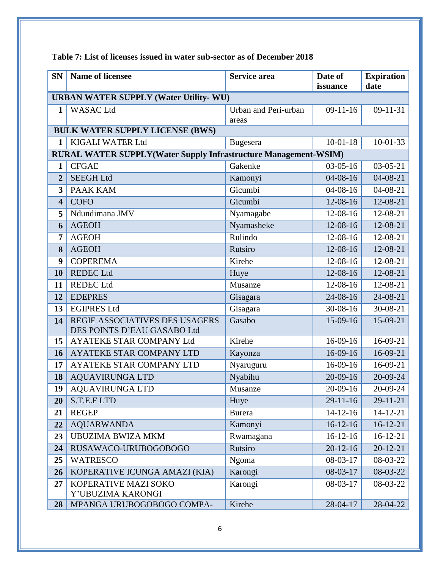| <b>SN</b>               | <b>Name of licensee</b>                                                | Service area                  | Date of<br>issuance | <b>Expiration</b><br>date |  |  |  |
|-------------------------|------------------------------------------------------------------------|-------------------------------|---------------------|---------------------------|--|--|--|
|                         | <b>URBAN WATER SUPPLY (Water Utility- WU)</b>                          |                               |                     |                           |  |  |  |
| 1                       | <b>WASAC Ltd</b>                                                       | Urban and Peri-urban<br>areas | $09-11-16$          | $09 - 11 - 31$            |  |  |  |
|                         | <b>BULK WATER SUPPLY LICENSE (BWS)</b>                                 |                               |                     |                           |  |  |  |
| $\mathbf{1}$            | <b>KIGALI WATER Ltd</b>                                                | <b>Bugesera</b>               | $10-01-18$          | $10 - 01 - 33$            |  |  |  |
|                         | <b>RURAL WATER SUPPLY(Water Supply Infrastructure Management-WSIM)</b> |                               |                     |                           |  |  |  |
| $\mathbf{1}$            | <b>CFGAE</b>                                                           | Gakenke                       | $03-05-16$          | $03-05-21$                |  |  |  |
| $\overline{2}$          | <b>SEEGH Ltd</b>                                                       | Kamonyi                       | $04 - 08 - 16$      | $04 - 08 - 21$            |  |  |  |
| 3                       | <b>PAAK KAM</b>                                                        | Gicumbi                       | $04 - 08 - 16$      | 04-08-21                  |  |  |  |
| $\overline{\mathbf{4}}$ | <b>COFO</b>                                                            | Gicumbi                       | 12-08-16            | 12-08-21                  |  |  |  |
| 5                       | Ndundimana JMV                                                         | Nyamagabe                     | 12-08-16            | 12-08-21                  |  |  |  |
| 6                       | <b>AGEOH</b>                                                           | Nyamasheke                    | 12-08-16            | 12-08-21                  |  |  |  |
| $\overline{7}$          | <b>AGEOH</b>                                                           | Rulindo                       | 12-08-16            | 12-08-21                  |  |  |  |
| 8                       | <b>AGEOH</b>                                                           | Rutsiro                       | 12-08-16            | 12-08-21                  |  |  |  |
| $\boldsymbol{9}$        | <b>COPEREMA</b>                                                        | Kirehe                        | 12-08-16            | 12-08-21                  |  |  |  |
| 10                      | <b>REDEC Ltd</b>                                                       | Huye                          | 12-08-16            | 12-08-21                  |  |  |  |
| 11                      | <b>REDEC Ltd</b>                                                       | Musanze                       | 12-08-16            | 12-08-21                  |  |  |  |
| 12                      | <b>EDEPRES</b>                                                         | Gisagara                      | 24-08-16            | 24-08-21                  |  |  |  |
| 13                      | <b>EGIPRES Ltd</b>                                                     | Gisagara                      | 30-08-16            | 30-08-21                  |  |  |  |
| 14                      | REGIE ASSOCIATIVES DES USAGERS<br>DES POINTS D'EAU GASABO Ltd          | Gasabo                        | 15-09-16            | 15-09-21                  |  |  |  |
| 15                      | AYATEKE STAR COMPANY Ltd                                               | Kirehe                        | 16-09-16            | 16-09-21                  |  |  |  |
| 16                      | AYATEKE STAR COMPANY LTD                                               | Kayonza                       | $16-09-16$          | 16-09-21                  |  |  |  |
| 17                      | AYATEKE STAR COMPANY LTD                                               | Nyaruguru                     | 16-09-16            | 16-09-21                  |  |  |  |
| 18                      | <b>AQUAVIRUNGA LTD</b>                                                 | Nyabihu                       | $20 - 09 - 16$      | 20-09-24                  |  |  |  |
| 19                      | <b>AQUAVIRUNGA LTD</b>                                                 | Musanze                       | 20-09-16            | 20-09-24                  |  |  |  |
| 20                      | S.T.E.FLTD                                                             | Huye                          | $29 - 11 - 16$      | $29 - 11 - 21$            |  |  |  |
| 21                      | <b>REGEP</b>                                                           | <b>Burera</b>                 | $14-12-16$          | $14 - 12 - 21$            |  |  |  |
| 22                      | <b>AQUARWANDA</b>                                                      | Kamonyi                       | $16-12-16$          | $16-12-21$                |  |  |  |
| 23                      | <b>UBUZIMA BWIZA MKM</b>                                               | Rwamagana                     | $16-12-16$          | $16-12-21$                |  |  |  |
| 24                      | RUSAWACO-URUBOGOBOGO                                                   | Rutsiro                       | $20 - 12 - 16$      | $20 - 12 - 21$            |  |  |  |
| 25                      | <b>WATRESCO</b>                                                        | Ngoma                         | 08-03-17            | 08-03-22                  |  |  |  |
| 26                      | KOPERATIVE ICUNGA AMAZI (KIA)                                          | Karongi                       | $08 - 03 - 17$      | 08-03-22                  |  |  |  |
| 27                      | KOPERATIVE MAZI SOKO<br>Y'UBUZIMA KARONGI                              | Karongi                       | 08-03-17            | 08-03-22                  |  |  |  |
| 28                      | MPANGA URUBOGOBOGO COMPA-                                              | Kirehe                        | 28-04-17            | 28-04-22                  |  |  |  |

## <span id="page-8-0"></span>**Table 7: List of licenses issued in water sub-sector as of December 2018**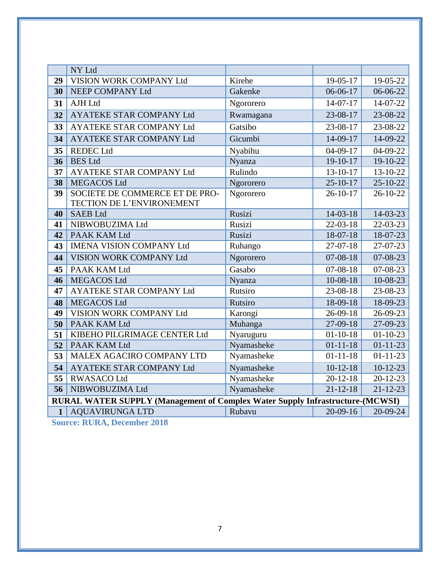<span id="page-9-0"></span>

|              | NY Ltd                                                                               |            |                |                |
|--------------|--------------------------------------------------------------------------------------|------------|----------------|----------------|
| 29           | VISION WORK COMPANY Ltd                                                              | Kirehe     | 19-05-17       | 19-05-22       |
| 30           | NEEP COMPANY Ltd                                                                     | Gakenke    | 06-06-17       | 06-06-22       |
| 31           | <b>AJH Ltd</b>                                                                       | Ngororero  | $14 - 07 - 17$ | 14-07-22       |
| 32           | <b>AYATEKE STAR COMPANY Ltd</b>                                                      | Rwamagana  | 23-08-17       | 23-08-22       |
| 33           | <b>AYATEKE STAR COMPANY Ltd</b>                                                      | Gatsibo    | 23-08-17       | 23-08-22       |
| 34           | <b>AYATEKE STAR COMPANY Ltd</b>                                                      | Gicumbi    | 14-09-17       | 14-09-22       |
| 35           | <b>REDEC Ltd</b>                                                                     | Nyabihu    | $04-09-17$     | $04 - 09 - 22$ |
| 36           | <b>BES</b> Ltd                                                                       | Nyanza     | $19-10-17$     | 19-10-22       |
| 37           | AYATEKE STAR COMPANY Ltd                                                             | Rulindo    | 13-10-17       | 13-10-22       |
| 38           | <b>MEGACOS Ltd</b>                                                                   | Ngororero  | $25 - 10 - 17$ | $25 - 10 - 22$ |
| 39           | SOCIETE DE COMMERCE ET DE PRO-                                                       | Ngororero  | $26 - 10 - 17$ | 26-10-22       |
|              | TECTION DE L'ENVIRONEMENT                                                            |            |                |                |
| 40           | <b>SAEB Ltd</b>                                                                      | Rusizi     | 14-03-18       | 14-03-23       |
| 41           | NIBWOBUZIMA Ltd                                                                      | Rusizi     | $22 - 03 - 18$ | 22-03-23       |
| 42           | PAAK KAM Ltd                                                                         | Rusizi     | 18-07-18       | 18-07-23       |
| 43           | <b>IMENA VISION COMPANY Ltd</b>                                                      | Ruhango    | 27-07-18       | 27-07-23       |
| 44           | VISION WORK COMPANY Ltd                                                              | Ngororero  | $07 - 08 - 18$ | 07-08-23       |
| 45           | PAAK KAM Ltd                                                                         | Gasabo     | $07 - 08 - 18$ | 07-08-23       |
| 46           | <b>MEGACOS Ltd</b>                                                                   | Nyanza     | $10-08-18$     | 10-08-23       |
| 47           | <b>AYATEKE STAR COMPANY Ltd</b>                                                      | Rutsiro    | 23-08-18       | 23-08-23       |
| 48           | <b>MEGACOS Ltd</b>                                                                   | Rutsiro    | 18-09-18       | 18-09-23       |
| 49           | VISION WORK COMPANY Ltd                                                              | Karongi    | 26-09-18       | 26-09-23       |
| 50           | PAAK KAM Ltd                                                                         | Muhanga    | 27-09-18       | 27-09-23       |
| 51           | KIBEHO PILGRIMAGE CENTER Ltd                                                         | Nyaruguru  | $01 - 10 - 18$ | $01 - 10 - 23$ |
| 52           | PAAK KAM Ltd                                                                         | Nyamasheke | $01 - 11 - 18$ | $01 - 11 - 23$ |
| 53           | MALEX AGACIRO COMPANY LTD                                                            | Nyamasheke | $01 - 11 - 18$ | $01 - 11 - 23$ |
| 54           | <b>AYATEKE STAR COMPANY Ltd</b>                                                      | Nyamasheke | $10-12-18$     | $10-12-23$     |
| 55           | <b>RWASACO Ltd</b>                                                                   | Nyamasheke | $20 - 12 - 18$ | $20 - 12 - 23$ |
| 56           | NIBWOBUZIMA Ltd                                                                      | Nyamasheke | $21 - 12 - 18$ | $21 - 12 - 23$ |
|              | <b>RURAL WATER SUPPLY (Management of Complex Water Supply Infrastructure-(MCWSI)</b> |            |                |                |
| $\mathbf{1}$ | <b>AQUAVIRUNGA LTD</b>                                                               | Rubavu     | $20-09-16$     | 20-09-24       |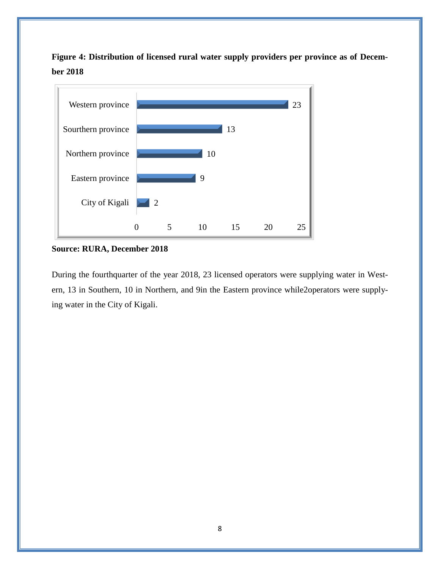**Figure 4: Distribution of licensed rural water supply providers per province as of December 2018**



**Source: RURA, December 2018**

During the fourthquarter of the year 2018, 23 licensed operators were supplying water in Western, 13 in Southern, 10 in Northern, and 9in the Eastern province while2operators were supplying water in the City of Kigali.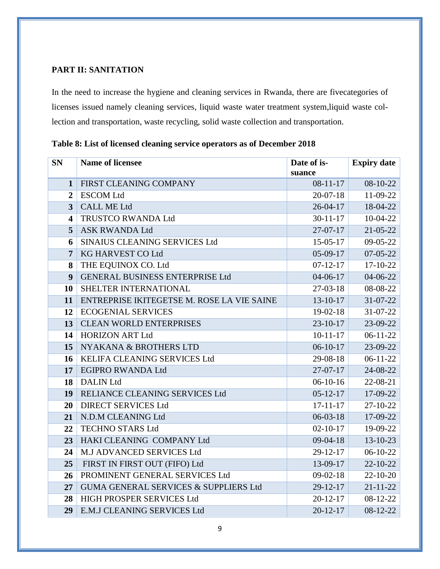### **PART II: SANITATION**

<span id="page-11-0"></span>In the need to increase the hygiene and cleaning services in Rwanda, there are fivecategories of licenses issued namely cleaning services, liquid waste water treatment system,liquid waste collection and transportation, waste recycling, solid waste collection and transportation.

| <b>SN</b>               | <b>Name of licensee</b>                          | Date of is-<br>suance | <b>Expiry date</b> |
|-------------------------|--------------------------------------------------|-----------------------|--------------------|
| $\mathbf{1}$            | FIRST CLEANING COMPANY                           | $08-11-17$            | 08-10-22           |
| $\overline{2}$          | <b>ESCOM Ltd</b>                                 | $20 - 07 - 18$        | 11-09-22           |
| $\overline{3}$          | <b>CALL ME Ltd</b>                               | $26 - 04 - 17$        | 18-04-22           |
| $\overline{\mathbf{4}}$ | TRUSTCO RWANDA Ltd                               | $30 - 11 - 17$        | 10-04-22           |
| 5                       | <b>ASK RWANDA Ltd</b>                            | $27 - 07 - 17$        | 21-05-22           |
| 6                       | SINAIUS CLEANING SERVICES Ltd                    | $15 - 05 - 17$        | 09-05-22           |
| $\overline{7}$          | KG HARVEST CO Ltd                                | $05-09-17$            | $07 - 05 - 22$     |
| 8                       | THE EQUINOX CO. Ltd                              | $07 - 12 - 17$        | 17-10-22           |
| 9                       | <b>GENERAL BUSINESS ENTERPRISE Ltd</b>           | $04 - 06 - 17$        | 04-06-22           |
| 10                      | SHELTER INTERNATIONAL                            | $27-03-18$            | 08-08-22           |
| 11                      | ENTREPRISE IKITEGETSE M. ROSE LA VIE SAINE       | $13 - 10 - 17$        | 31-07-22           |
| 12                      | <b>ECOGENIAL SERVICES</b>                        | $19-02-18$            | 31-07-22           |
| 13                      | <b>CLEAN WORLD ENTERPRISES</b>                   | $23 - 10 - 17$        | 23-09-22           |
| 14                      | <b>HORIZON ART Ltd</b>                           | $10-11-17$            | $06-11-22$         |
| 15                      | NYAKANA & BROTHERS LTD                           | $06-10-17$            | 23-09-22           |
| 16                      | KELIFA CLEANING SERVICES Ltd                     | 29-08-18              | $06 - 11 - 22$     |
| 17                      | <b>EGIPRO RWANDA Ltd</b>                         | $27-07-17$            | 24-08-22           |
| 18                      | <b>DALIN Ltd</b>                                 | $06-10-16$            | 22-08-21           |
| 19                      | RELIANCE CLEANING SERVICES Ltd                   | $05 - 12 - 17$        | 17-09-22           |
| 20                      | <b>DIRECT SERVICES Ltd</b>                       | $17 - 11 - 17$        | 27-10-22           |
| 21                      | N.D.M CLEANING Ltd                               | $06 - 03 - 18$        | 17-09-22           |
| 22                      | <b>TECHNO STARS Ltd</b>                          | $02 - 10 - 17$        | 19-09-22           |
| 23                      | HAKI CLEANING COMPANY Ltd                        | $09-04-18$            | 13-10-23           |
| 24                      | M.J ADVANCED SERVICES Ltd                        | $29-12-17$            | $06-10-22$         |
| 25                      | FIRST IN FIRST OUT (FIFO) Ltd                    | 13-09-17              | 22-10-22           |
| 26                      | PROMINENT GENERAL SERVICES Ltd                   | $09 - 02 - 18$        | $22 - 10 - 20$     |
| 27                      | <b>GUMA GENERAL SERVICES &amp; SUPPLIERS Ltd</b> | 29-12-17              | $21 - 11 - 22$     |
| 28                      | HIGH PROSPER SERVICES Ltd                        | $20 - 12 - 17$        | 08-12-22           |
| 29                      | E.M.J CLEANING SERVICES Ltd                      | $20 - 12 - 17$        | $08-12-22$         |

<span id="page-11-1"></span>**Table 8: List of licensed cleaning service operators as of December 2018**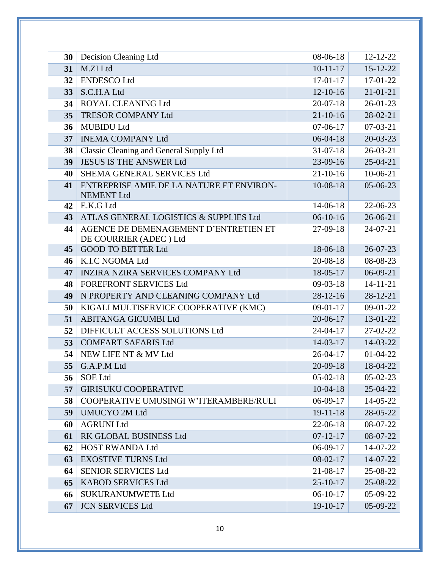| 30 | Decision Cleaning Ltd                                           | 08-06-18       | 12-12-22       |
|----|-----------------------------------------------------------------|----------------|----------------|
| 31 | M.ZI Ltd                                                        | $10-11-17$     | $15 - 12 - 22$ |
| 32 | <b>ENDESCO Ltd</b>                                              | $17-01-17$     | 17-01-22       |
| 33 | S.C.H.A Ltd                                                     | $12 - 10 - 16$ | $21 - 01 - 21$ |
| 34 | ROYAL CLEANING Ltd                                              | $20 - 07 - 18$ | 26-01-23       |
| 35 | <b>TRESOR COMPANY Ltd</b>                                       | $21 - 10 - 16$ | 28-02-21       |
| 36 | <b>MUBIDU Ltd</b>                                               | $07-06-17$     | $07-03-21$     |
| 37 | <b>INEMA COMPANY Ltd</b>                                        | $06 - 04 - 18$ | $20 - 03 - 23$ |
| 38 | <b>Classic Cleaning and General Supply Ltd</b>                  | $31 - 07 - 18$ | $26 - 03 - 21$ |
| 39 | <b>JESUS IS THE ANSWER Ltd</b>                                  | 23-09-16       | $25-04-21$     |
| 40 | SHEMA GENERAL SERVICES Ltd                                      | $21 - 10 - 16$ | 10-06-21       |
| 41 | ENTREPRISE AMIE DE LA NATURE ET ENVIRON-<br><b>NEMENT Ltd</b>   | 10-08-18       | $05-06-23$     |
| 42 | E.K.G Ltd                                                       | $14-06-18$     | 22-06-23       |
| 43 | ATLAS GENERAL LOGISTICS & SUPPLIES Ltd                          | $06-10-16$     | 26-06-21       |
| 44 | AGENCE DE DEMENAGEMENT D'ENTRETIEN ET<br>DE COURRIER (ADEC) Ltd | $27-09-18$     | $24-07-21$     |
| 45 | <b>GOOD TO BETTER Ltd</b>                                       | 18-06-18       | 26-07-23       |
| 46 | K.I.C NGOMA Ltd                                                 | $20 - 08 - 18$ | 08-08-23       |
| 47 | <b>INZIRA NZIRA SERVICES COMPANY Ltd</b>                        | 18-05-17       | 06-09-21       |
| 48 | <b>FOREFRONT SERVICES Ltd</b>                                   | $09 - 03 - 18$ | $14 - 11 - 21$ |
| 49 | N PROPERTY AND CLEANING COMPANY Ltd                             | $28-12-16$     | $28 - 12 - 21$ |
| 50 | KIGALI MULTISERVICE COOPERATIVE (KMC)                           | $09-01-17$     | $09-01-22$     |
| 51 | ABITANGA GICUMBI Ltd                                            | 20-06-17       | $13 - 01 - 22$ |
| 52 | DIFFICULT ACCESS SOLUTIONS Ltd                                  | $24 - 04 - 17$ | 27-02-22       |
| 53 | <b>COMFART SAFARIS Ltd</b>                                      | $14-03-17$     | 14-03-22       |
| 54 | NEW LIFE NT & MV Ltd                                            | $26 - 04 - 17$ | $01 - 04 - 22$ |
| 55 | G.A.P.M Ltd                                                     | $20-09-18$     | 18-04-22       |
| 56 | <b>SOE Ltd</b>                                                  | $05-02-18$     | $05 - 02 - 23$ |
| 57 | <b>GIRISUKU COOPERATIVE</b>                                     | $10-04-18$     | 25-04-22       |
| 58 | COOPERATIVE UMUSINGI W'ITERAMBERE/RULI                          | $06-09-17$     | 14-05-22       |
| 59 | <b>UMUCYO 2M Ltd</b>                                            | $19 - 11 - 18$ | 28-05-22       |
| 60 | <b>AGRUNI Ltd</b>                                               | $22-06-18$     | 08-07-22       |
| 61 | RK GLOBAL BUSINESS Ltd                                          | $07 - 12 - 17$ | 08-07-22       |
| 62 | <b>HOST RWANDA Ltd</b>                                          | $06-09-17$     | 14-07-22       |
| 63 | <b>EXOSTIVE TURNS Ltd</b>                                       | $08-02-17$     | 14-07-22       |
| 64 | <b>SENIOR SERVICES Ltd</b>                                      | 21-08-17       | 25-08-22       |
| 65 | <b>KABOD SERVICES Ltd</b>                                       | $25 - 10 - 17$ | 25-08-22       |
| 66 | <b>SUKURANUMWETE Ltd</b>                                        | $06-10-17$     | 05-09-22       |
| 67 | <b>JCN SERVICES Ltd</b>                                         | 19-10-17       | 05-09-22       |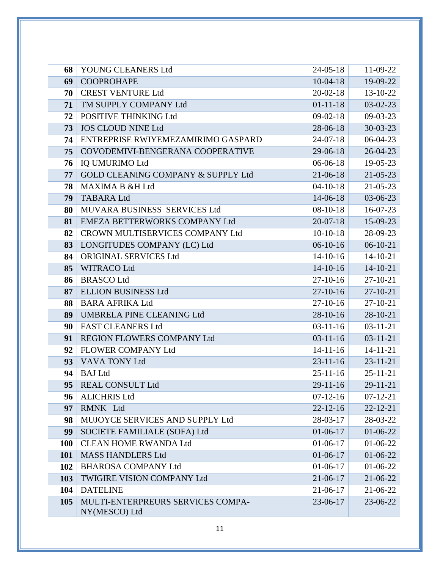| 68         | YOUNG CLEANERS Ltd                 | $24 - 05 - 18$ | 11-09-22       |
|------------|------------------------------------|----------------|----------------|
| 69         | <b>COOPROHAPE</b>                  | $10-04-18$     | 19-09-22       |
| 70         | <b>CREST VENTURE Ltd</b>           | $20 - 02 - 18$ | 13-10-22       |
| 71         | TM SUPPLY COMPANY Ltd              | $01 - 11 - 18$ | $03-02-23$     |
| 72         | POSITIVE THINKING Ltd              | $09-02-18$     | 09-03-23       |
| 73         | <b>JOS CLOUD NINE Ltd</b>          | $28-06-18$     | $30-03-23$     |
| 74         | ENTREPRISE RWIYEMEZAMIRIMO GASPARD | $24-07-18$     | 06-04-23       |
| 75         | COVODEMIVI-BENGERANA COOPERATIVE   | 29-06-18       | $26 - 04 - 23$ |
| 76         | <b>IQ UMURIMO Ltd</b>              | $06-06-18$     | 19-05-23       |
| 77         | GOLD CLEANING COMPANY & SUPPLY Ltd | $21-06-18$     | $21 - 05 - 23$ |
| 78         | <b>MAXIMA B &amp;H Ltd</b>         | $04 - 10 - 18$ | $21 - 05 - 23$ |
| 79         | <b>TABARA Ltd</b>                  | $14 - 06 - 18$ | 03-06-23       |
| 80         | MUVARA BUSINESS SERVICES Ltd       | $08-10-18$     | 16-07-23       |
| 81         | EMEZA BETTERWORKS COMPANY Ltd      | $20 - 07 - 18$ | 15-09-23       |
| 82         | CROWN MULTISERVICES COMPANY Ltd    | $10-10-18$     | 28-09-23       |
| 83         | LONGITUDES COMPANY (LC) Ltd        | $06-10-16$     | $06-10-21$     |
| 84         | ORIGINAL SERVICES Ltd              | $14-10-16$     | $14 - 10 - 21$ |
| 85         | <b>WITRACO Ltd</b>                 | $14 - 10 - 16$ | $14 - 10 - 21$ |
| 86         | <b>BRASCO Ltd</b>                  | $27-10-16$     | $27 - 10 - 21$ |
| 87         | <b>ELLION BUSINESS Ltd</b>         | $27-10-16$     | $27 - 10 - 21$ |
| 88         | <b>BARA AFRIKA Ltd</b>             | $27-10-16$     | 27-10-21       |
| 89         | UMBRELA PINE CLEANING Ltd          | $28-10-16$     | 28-10-21       |
| 90         | <b>FAST CLEANERS Ltd</b>           | $03-11-16$     | $03 - 11 - 21$ |
| 91         | REGION FLOWERS COMPANY Ltd         | $03-11-16$     | $03 - 11 - 21$ |
| 92         | <b>FLOWER COMPANY Ltd</b>          | $14 - 11 - 16$ | $14 - 11 - 21$ |
| 93         | VAVA TONY Ltd                      | $23 - 11 - 16$ | $23 - 11 - 21$ |
| 94         | <b>BAJ</b> Ltd                     | $25 - 11 - 16$ | $25 - 11 - 21$ |
|            | 95   REAL CONSULT Ltd              | $29-11-16$     | $29 - 11 - 21$ |
| 96         | <b>ALICHRIS Ltd</b>                | $07-12-16$     | $07 - 12 - 21$ |
| 97         | RMNK Ltd                           | $22 - 12 - 16$ | $22 - 12 - 21$ |
| 98         | MUJOYCE SERVICES AND SUPPLY Ltd    | 28-03-17       | 28-03-22       |
| 99         | SOCIETE FAMILIALE (SOFA) Ltd       | $01-06-17$     | $01-06-22$     |
| <b>100</b> | <b>CLEAN HOME RWANDA Ltd</b>       | $01-06-17$     | 01-06-22       |
| 101        | <b>MASS HANDLERS Ltd</b>           | $01-06-17$     | $01-06-22$     |
| 102        | <b>BHAROSA COMPANY Ltd</b>         | $01-06-17$     | 01-06-22       |
| 103        | <b>TWIGIRE VISION COMPANY Ltd</b>  | $21 - 06 - 17$ | $21 - 06 - 22$ |
| 104        | <b>DATELINE</b>                    | 21-06-17       | 21-06-22       |
| 105        | MULTI-ENTERPREURS SERVICES COMPA-  | 23-06-17       | 23-06-22       |
|            | NY(MESCO) Ltd                      |                |                |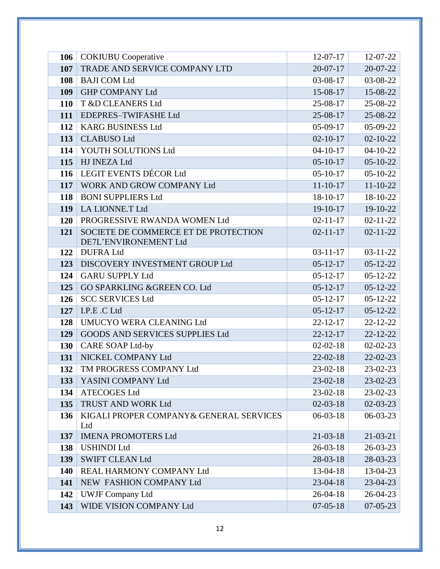| 106        | <b>COKIUBU</b> Cooperative              | $12-07-17$                       | 12-07-22                         |
|------------|-----------------------------------------|----------------------------------|----------------------------------|
| 107        | TRADE AND SERVICE COMPANY LTD           | $20-07-17$                       | 20-07-22                         |
| 108        | <b>BAJI COM Ltd</b>                     | 03-08-17                         | 03-08-22                         |
| 109        | <b>GHP COMPANY Ltd</b>                  | 15-08-17                         | 15-08-22                         |
| <b>110</b> | T &D CLEANERS Ltd                       | 25-08-17                         | 25-08-22                         |
| 111        | EDEPRES-TWIFASHE Ltd                    | 25-08-17                         | 25-08-22                         |
| 112        | <b>KARG BUSINESS Ltd</b>                | $05-09-17$                       | 05-09-22                         |
| 113        | <b>CLABUSO Ltd</b>                      | $02 - 10 - 17$                   | $02 - 10 - 22$                   |
| 114        | YOUTH SOLUTIONS Ltd                     | $04 - 10 - 17$                   | $04 - 10 - 22$                   |
| 115        | HJ INEZA Ltd                            | $05-10-17$                       | $05-10-22$                       |
| 116        | <b>LEGIT EVENTS DÉCOR Ltd</b>           | $05-10-17$                       | $05-10-22$                       |
| 117        | WORK AND GROW COMPANY Ltd               | $11 - 10 - 17$                   | $11 - 10 - 22$                   |
| 118        | <b>BONI SUPPLIERS Ltd</b>               | 18-10-17                         | 18-10-22                         |
| 119        | LA LIONNE.T Ltd                         | $19-10-17$                       | 19-10-22                         |
| <b>120</b> | PROGRESSIVE RWANDA WOMEN Ltd            | $02 - 11 - 17$                   | $02 - 11 - 22$                   |
| 121        | SOCIETE DE COMMERCE ET DE PROTECTION    | $02 - 11 - 17$                   | $02 - 11 - 22$                   |
|            | DE7L'ENVIRONEMENT Ltd                   |                                  |                                  |
| 122        | <b>DUFRA Ltd</b>                        | $03 - 11 - 17$                   | $03 - 11 - 22$                   |
| 123        | DISCOVERY INVESTMENT GROUP Ltd          | $05 - 12 - 17$                   | $05 - 12 - 22$                   |
| 124        | <b>GARU SUPPLY Ltd</b>                  | $05 - 12 - 17$                   | $05 - 12 - 22$                   |
| 125        | GO SPARKLING & GREEN CO. Ltd            | $05 - 12 - 17$                   | $05 - 12 - 22$                   |
| 126        | <b>SCC SERVICES Ltd</b>                 | $05 - 12 - 17$                   | $05 - 12 - 22$                   |
| 127        | I.P.E.C Ltd<br>UMUCYO WERA CLEANING Ltd | $05 - 12 - 17$<br>$22 - 12 - 17$ | $05 - 12 - 22$                   |
| 128<br>129 | GOODS AND SERVICES SUPPLIES Ltd         | $22 - 12 - 17$                   | $22 - 12 - 22$<br>$22 - 12 - 22$ |
|            | <b>CARE SOAP Ltd-by</b>                 | $02 - 02 - 18$                   | $02 - 02 - 23$                   |
| 130<br>131 | NICKEL COMPANY Ltd                      | $22 - 02 - 18$                   | $22 - 02 - 23$                   |
| 132        | TM PROGRESS COMPANY Ltd                 | $23-02-18$                       | $23-02-23$                       |
| 133        | YASINI COMPANY Ltd                      | 23-02-18                         | 23-02-23                         |
| 134        | <b>ATECOGES Ltd</b>                     | 23-02-18                         | 23-02-23                         |
| 135        | TRUST AND WORK Ltd                      | $02 - 03 - 18$                   | $02 - 03 - 23$                   |
| 136        | KIGALI PROPER COMPANY& GENERAL SERVICES | $06 - 03 - 18$                   | $06-03-23$                       |
|            | Ltd                                     |                                  |                                  |
| 137        | <b>IMENA PROMOTERS Ltd</b>              | $21 - 03 - 18$                   | $21 - 03 - 21$                   |
| 138        | <b>USHINDI Ltd</b>                      | $26 - 03 - 18$                   | 26-03-23                         |
| 139        | <b>SWIFT CLEAN Ltd</b>                  | 28-03-18                         | 28-03-23                         |
| 140        | REAL HARMONY COMPANY Ltd                | 13-04-18                         | 13-04-23                         |
| 141        | NEW FASHION COMPANY Ltd                 | 23-04-18                         | $23 - 04 - 23$                   |
| 142        | <b>UWJF Company Ltd</b>                 | $26 - 04 - 18$                   | 26-04-23                         |
| 143        | WIDE VISION COMPANY Ltd                 | $07 - 05 - 18$                   | $07 - 05 - 23$                   |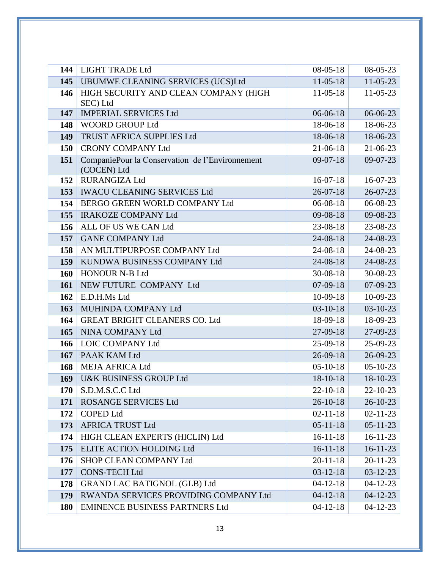| 144        | <b>LIGHT TRADE Ltd</b>                                         | $08 - 05 - 18$                   | 08-05-23                         |
|------------|----------------------------------------------------------------|----------------------------------|----------------------------------|
| 145        | UBUMWE CLEANING SERVICES (UCS)Ltd                              | $11-05-18$                       | $11-05-23$                       |
| 146        | HIGH SECURITY AND CLEAN COMPANY (HIGH<br>SEC) Ltd              | $11-05-18$                       | $11-05-23$                       |
| 147        | <b>IMPERIAL SERVICES Ltd</b>                                   | $06 - 06 - 18$                   | 06-06-23                         |
| 148        | <b>WOORD GROUP Ltd</b>                                         | 18-06-18                         | 18-06-23                         |
| 149        | TRUST AFRICA SUPPLIES Ltd                                      | 18-06-18                         | 18-06-23                         |
| 150        | <b>CRONY COMPANY Ltd</b>                                       | $21-06-18$                       | $21 - 06 - 23$                   |
| 151        | CompaniePour la Conservation de l'Environnement<br>(COCEN) Ltd | $09-07-18$                       | $09-07-23$                       |
| 152        | <b>RURANGIZA Ltd</b>                                           | $16-07-18$                       | $16-07-23$                       |
| 153        | <b>IWACU CLEANING SERVICES Ltd</b>                             | $26 - 07 - 18$                   | $26 - 07 - 23$                   |
| 154        | BERGO GREEN WORLD COMPANY Ltd                                  | $06 - 08 - 18$                   | 06-08-23                         |
| 155        | <b>IRAKOZE COMPANY Ltd</b>                                     | 09-08-18                         | 09-08-23                         |
| 156        | ALL OF US WE CAN Ltd                                           | 23-08-18                         | 23-08-23                         |
| 157        | <b>GANE COMPANY Ltd</b>                                        | $24 - 08 - 18$                   | 24-08-23                         |
| 158        | AN MULTIPURPOSE COMPANY Ltd                                    | 24-08-18                         | 24-08-23                         |
| 159        | KUNDWA BUSINESS COMPANY Ltd                                    | $24 - 08 - 18$                   | 24-08-23                         |
| 160        | <b>HONOUR N-B Ltd</b>                                          | $30 - 08 - 18$                   | 30-08-23                         |
| 161        | NEW FUTURE COMPANY Ltd                                         | $07-09-18$                       | $07-09-23$                       |
| 162        | E.D.H.Ms Ltd                                                   | $10-09-18$                       | 10-09-23                         |
| 163        | MUHINDA COMPANY Ltd                                            | $03-10-18$                       | $03 - 10 - 23$                   |
| 164        | <b>GREAT BRIGHT CLEANERS CO. Ltd</b>                           | 18-09-18                         | 18-09-23                         |
| 165        | NINA COMPANY Ltd                                               | 27-09-18                         | 27-09-23                         |
| 166        | <b>LOIC COMPANY Ltd</b>                                        | $25-09-18$                       | 25-09-23                         |
| 167        | PAAK KAM Ltd                                                   | $26 - 09 - 18$                   | 26-09-23                         |
| 168        | <b>MEJA AFRICA Ltd</b>                                         | $05-10-18$                       | $05-10-23$                       |
| 169        | <b>U&amp;K BUSINESS GROUP Ltd</b>                              | 18-10-18                         | 18-10-23                         |
| 170        | S.D.M.S.C.C Ltd                                                | $22 - 10 - 18$                   | 22-10-23                         |
| 171        | <b>ROSANGE SERVICES Ltd</b>                                    | $26 - 10 - 18$<br>$02 - 11 - 18$ | $26 - 10 - 23$                   |
| 172<br>173 | <b>COPED Ltd</b><br><b>AFRICA TRUST Ltd</b>                    | $05 - 11 - 18$                   | $02 - 11 - 23$<br>$05 - 11 - 23$ |
|            | HIGH CLEAN EXPERTS (HICLIN) Ltd                                | $16 - 11 - 18$                   | $16-11-23$                       |
| 174<br>175 | <b>ELITE ACTION HOLDING Ltd</b>                                | $16 - 11 - 18$                   | $16-11-23$                       |
| 176        | SHOP CLEAN COMPANY Ltd                                         | $20 - 11 - 18$                   | $20 - 11 - 23$                   |
| 177        | <b>CONS-TECH Ltd</b>                                           | $03 - 12 - 18$                   | $03-12-23$                       |
| 178        | <b>GRAND LAC BATIGNOL (GLB) Ltd</b>                            | $04 - 12 - 18$                   | $04 - 12 - 23$                   |
| 179        | RWANDA SERVICES PROVIDING COMPANY Ltd                          | $04 - 12 - 18$                   | $04 - 12 - 23$                   |
| <b>180</b> | <b>EMINENCE BUSINESS PARTNERS Ltd</b>                          | $04-12-18$                       | $04 - 12 - 23$                   |
|            |                                                                |                                  |                                  |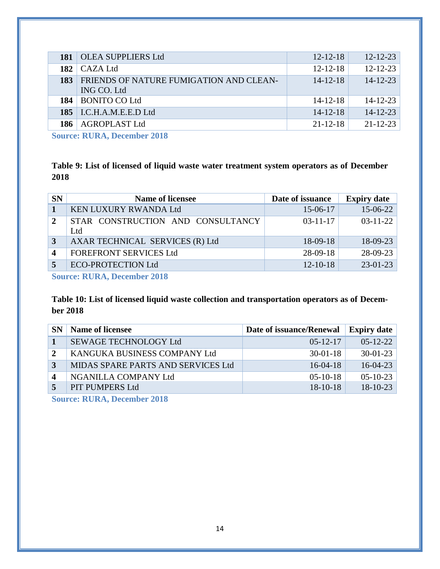| 181 | <b>OLEA SUPPLIERS Ltd</b>                              | $12 - 12 - 18$ | $12 - 12 - 23$ |
|-----|--------------------------------------------------------|----------------|----------------|
| 182 | $\overline{\phantom{a}}$ CAZA Ltd                      | $12 - 12 - 18$ | $12 - 12 - 23$ |
| 183 | FRIENDS OF NATURE FUMIGATION AND CLEAN-<br>ING CO. Ltd | $14 - 12 - 18$ | $14 - 12 - 23$ |
| 184 | BONITO CO Ltd                                          | $14 - 12 - 18$ | $14 - 12 - 23$ |
|     | $185$ I.C.H.A.M.E.E.D Ltd                              | $14 - 12 - 18$ | $14 - 12 - 23$ |
| 186 | <b>AGROPLAST Ltd</b>                                   | $21 - 12 - 18$ | $21 - 12 - 23$ |
|     |                                                        |                |                |

**Source: RURA, December 2018**

<span id="page-16-0"></span>**Table 9: List of licensed of liquid waste water treatment system operators as of December 2018**

| <b>SN</b>                | <b>Name of licensee</b>                  | Date of issuance | <b>Expiry date</b> |
|--------------------------|------------------------------------------|------------------|--------------------|
|                          | <b>KEN LUXURY RWANDA Ltd</b>             | 15-06-17         | 15-06-22           |
| $\overline{2}$           | STAR CONSTRUCTION AND CONSULTANCY<br>Ltd | $03 - 11 - 17$   | $03 - 11 - 22$     |
| 3                        | AXAR TECHNICAL SERVICES (R) Ltd          | $18-09-18$       | 18-09-23           |
| $\boldsymbol{\varDelta}$ | <b>FOREFRONT SERVICES Ltd</b>            | $28-09-18$       | 28-09-23           |
|                          | <b>ECO-PROTECTION Ltd</b>                | $12 - 10 - 18$   | $23-01-23$         |
|                          |                                          |                  |                    |

**Source: RURA, December 2018**

### <span id="page-16-1"></span>**Table 10: List of licensed liquid waste collection and transportation operators as of December 2018**

| <b>SN</b>    | <b>Name of licensee</b>            | Date of issuance/Renewal | <b>Expiry date</b> |
|--------------|------------------------------------|--------------------------|--------------------|
|              | SEWAGE TECHNOLOGY Ltd              | $05-12-17$               | $05 - 12 - 22$     |
| $\mathbf{2}$ | KANGUKA BUSINESS COMPANY Ltd       | $30 - 01 - 18$           | $30 - 01 - 23$     |
|              | MIDAS SPARE PARTS AND SERVICES Ltd | $16-04-18$               | $16 - 04 - 23$     |
|              | NGANILLA COMPANY Ltd               | $05-10-18$               | $05 - 10 - 23$     |
|              | PIT PUMPERS Ltd                    | $18-10-18$               | $18 - 10 - 23$     |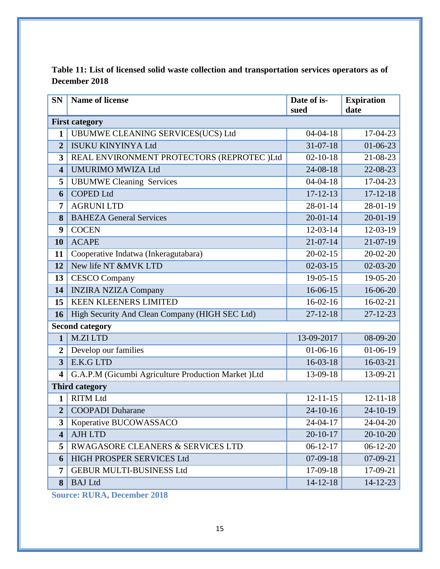<span id="page-17-1"></span>

| <b>SN</b>               | <b>Name of license</b>                              | Date of is-<br>sued | <b>Expiration</b><br>date |
|-------------------------|-----------------------------------------------------|---------------------|---------------------------|
|                         | <b>First category</b>                               |                     |                           |
| $\mathbf{1}$            | UBUMWE CLEANING SERVICES(UCS) Ltd                   | $04 - 04 - 18$      | 17-04-23                  |
| $\overline{2}$          | <b>ISUKU KINYINYA Ltd</b>                           | $31 - 07 - 18$      | $01 - 06 - 23$            |
| 3                       | REAL ENVIRONMENT PROTECTORS (REPROTEC )Ltd          | $02 - 10 - 18$      | 21-08-23                  |
| $\overline{\mathbf{4}}$ | <b>UMURIMO MWIZA Ltd</b>                            | 24-08-18            | 22-08-23                  |
| 5                       | <b>UBUMWE Cleaning Services</b>                     | $04 - 04 - 18$      | 17-04-23                  |
| 6                       | <b>COPED Ltd</b>                                    | $17 - 12 - 13$      | $17 - 12 - 18$            |
| 7                       | <b>AGRUNI LTD</b>                                   | 28-01-14            | 28-01-19                  |
| 8                       | <b>BAHEZA General Services</b>                      | $20 - 01 - 14$      | $20 - 01 - 19$            |
| 9                       | <b>COCEN</b>                                        | $12-03-14$          | 12-03-19                  |
| 10                      | <b>ACAPE</b>                                        | $21 - 07 - 14$      | 21-07-19                  |
| 11                      | Cooperative Indatwa (Inkeragutabara)                | $20 - 02 - 15$      | $20 - 02 - 20$            |
| 12                      | New life NT &MVK LTD                                | $02 - 03 - 15$      | $02 - 03 - 20$            |
| 13                      | <b>CESCO Company</b>                                | $19-05-15$          | 19-05-20                  |
| 14                      | <b>INZIRA NZIZA Company</b>                         | 16-06-15            | 16-06-20                  |
| 15                      | <b>KEEN KLEENERS LIMITED</b>                        | $16-02-16$          | $16-02-21$                |
| 16                      | High Security And Clean Company (HIGH SEC Ltd)      |                     | $27 - 12 - 23$            |
|                         | <b>Second category</b>                              |                     |                           |
| $\mathbf{1}$            | <b>M.ZILTD</b>                                      | 13-09-2017          | 08-09-20                  |
| $\overline{2}$          | Develop our families                                | $01-06-16$          | $01-06-19$                |
| $\overline{3}$          | E.K.G LTD                                           | $16-03-18$          | $16-03-21$                |
| 4                       | G.A.P.M (Gicumbi Agriculture Production Market )Ltd | 13-09-18            | 13-09-21                  |
|                         | <b>Third category</b>                               |                     |                           |
| 1                       | <b>RITM Ltd</b>                                     | $12 - 11 - 15$      | $12 - 11 - 18$            |
| $\overline{2}$          | <b>COOPADI</b> Duharane                             | 24-10-16            | $24 - 10 - 19$            |
| $\overline{\mathbf{3}}$ | Koperative BUCOWASSACO                              | 24-04-17            | 24-04-20                  |
| $\overline{\mathbf{4}}$ | <b>AJH LTD</b>                                      | $20 - 10 - 17$      | $20 - 10 - 20$            |
| 5                       | RWAGASORE CLEANERS & SERVICES LTD                   | $06-12-17$          | $06-12-20$                |
| 6                       | HIGH PROSPER SERVICES Ltd                           | $07-09-18$          | $07-09-21$                |
| 7                       | <b>GEBUR MULTI-BUSINESS Ltd</b>                     | 17-09-18            | 17-09-21                  |
| 8                       | <b>BAJ</b> Ltd                                      | $14 - 12 - 18$      | $14 - 12 - 23$            |

<span id="page-17-0"></span>**Table 11: List of licensed solid waste collection and transportation services operators as of December 2018**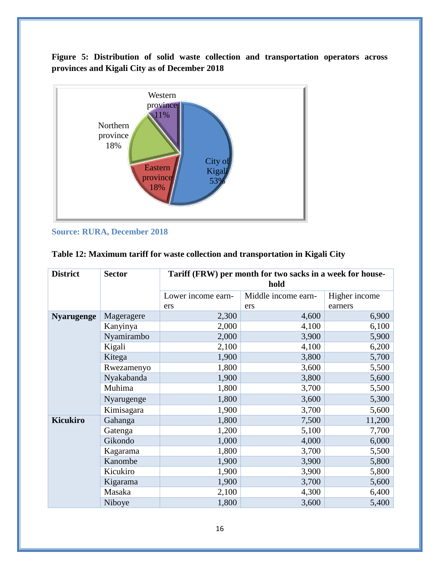**Figure 5: Distribution of solid waste collection and transportation operators across provinces and Kigali City as of December 2018**



**Source: RURA, December 2018**

| <b>District</b>   | <b>Sector</b> | Tariff (FRW) per month for two sacks in a week for house-<br>hold |                     |               |
|-------------------|---------------|-------------------------------------------------------------------|---------------------|---------------|
|                   |               | Lower income earn-                                                | Middle income earn- | Higher income |
|                   |               | ers                                                               | ers                 | earners       |
| <b>Nyarugenge</b> | Mageragere    | 2,300                                                             | 4,600               | 6,900         |
|                   | Kanyinya      | 2,000                                                             | 4,100               | 6,100         |
|                   | Nyamirambo    | 2,000                                                             | 3,900               | 5,900         |
|                   | Kigali        | 2,100                                                             | 4,100               | 6,200         |
|                   | Kitega        | 1,900                                                             | 3,800               | 5,700         |
|                   | Rwezamenyo    | 1,800                                                             | 3,600               | 5,500         |
|                   | Nyakabanda    | 1,900                                                             | 3,800               | 5,600         |
|                   | Muhima        | 1,800                                                             | 3,700               | 5,500         |
|                   | Nyarugenge    | 1,800                                                             | 3,600               | 5,300         |
|                   | Kimisagara    | 1,900                                                             | 3,700               | 5,600         |
| <b>Kicukiro</b>   | Gahanga       | 1,800                                                             | 7,500               | 11,200        |
|                   | Gatenga       | 1,200                                                             | 5,100               | 7,700         |
|                   | Gikondo       | 1,000                                                             | 4,000               | 6,000         |
|                   | Kagarama      | 1,800                                                             | 3,700               | 5,500         |
|                   | Kanombe       | 1,900                                                             | 3,900               | 5,800         |
|                   | Kicukiro      | 1,900                                                             | 3,900               | 5,800         |
|                   | Kigarama      | 1,900                                                             | 3,700               | 5,600         |
|                   | Masaka        | 2,100                                                             | 4,300               | 6,400         |
|                   | Niboye        | 1,800                                                             | 3,600               | 5,400         |

### <span id="page-18-0"></span>**Table 12: Maximum tariff for waste collection and transportation in Kigali City**